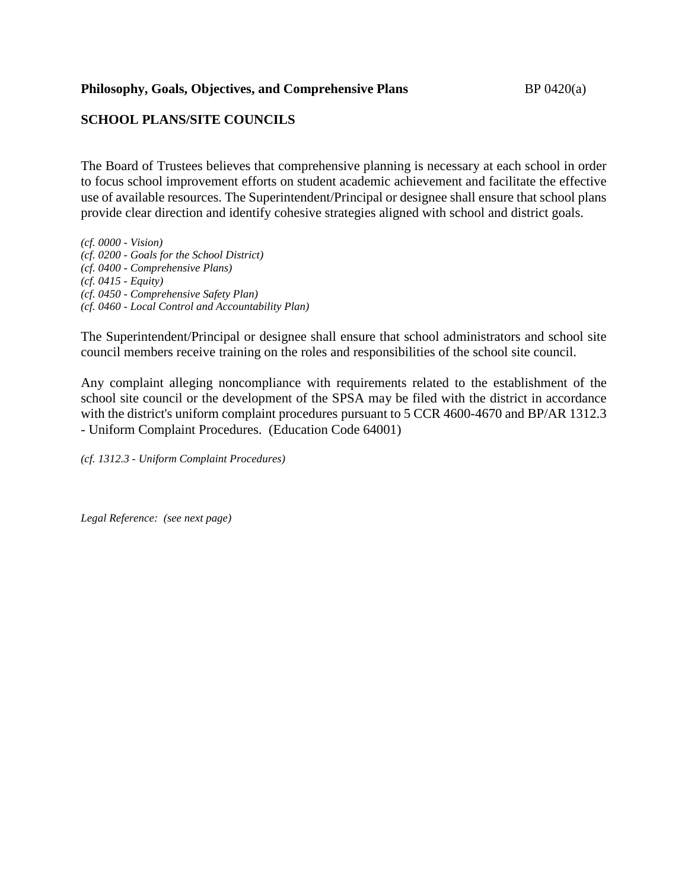## **Philosophy, Goals, Objectives, and Comprehensive Plans** BP 0420(a)

# **SCHOOL PLANS/SITE COUNCILS**

The Board of Trustees believes that comprehensive planning is necessary at each school in order to focus school improvement efforts on student academic achievement and facilitate the effective use of available resources. The Superintendent/Principal or designee shall ensure that school plans provide clear direction and identify cohesive strategies aligned with school and district goals.

*(cf. 0000 - Vision) (cf. 0200 - Goals for the School District) (cf. 0400 - Comprehensive Plans) (cf. 0415 - Equity) (cf. 0450 - Comprehensive Safety Plan) (cf. 0460 - Local Control and Accountability Plan)*

The Superintendent/Principal or designee shall ensure that school administrators and school site council members receive training on the roles and responsibilities of the school site council.

Any complaint alleging noncompliance with requirements related to the establishment of the school site council or the development of the SPSA may be filed with the district in accordance with the district's uniform complaint procedures pursuant to 5 CCR 4600-4670 and BP/AR 1312.3 - Uniform Complaint Procedures. (Education Code 64001)

*(cf. 1312.3 - Uniform Complaint Procedures)*

*Legal Reference: (see next page)*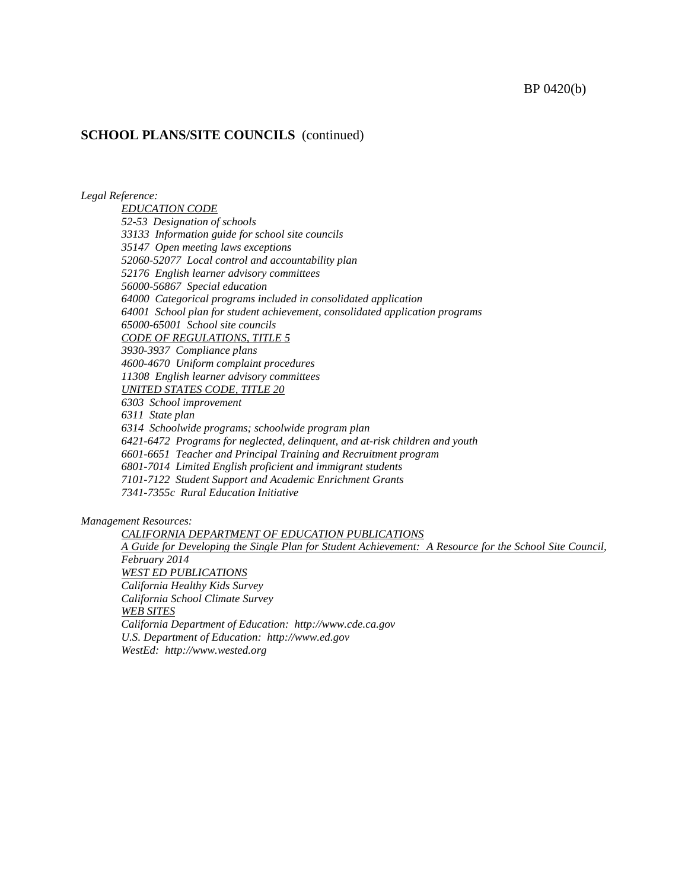#### BP 0420(b)

#### **SCHOOL PLANS/SITE COUNCILS** (continued)

*Legal Reference:*

*EDUCATION CODE 52-53 Designation of schools 33133 Information guide for school site councils 35147 Open meeting laws exceptions 52060-52077 Local control and accountability plan 52176 English learner advisory committees 56000-56867 Special education 64000 Categorical programs included in consolidated application 64001 School plan for student achievement, consolidated application programs 65000-65001 School site councils CODE OF REGULATIONS, TITLE 5 3930-3937 Compliance plans 4600-4670 Uniform complaint procedures 11308 English learner advisory committees UNITED STATES CODE, TITLE 20 6303 School improvement 6311 State plan 6314 Schoolwide programs; schoolwide program plan 6421-6472 Programs for neglected, delinquent, and at-risk children and youth 6601-6651 Teacher and Principal Training and Recruitment program 6801-7014 Limited English proficient and immigrant students 7101-7122 Student Support and Academic Enrichment Grants 7341-7355c Rural Education Initiative*

*Management Resources:*

*CALIFORNIA DEPARTMENT OF EDUCATION PUBLICATIONS A Guide for Developing the Single Plan for Student Achievement: A Resource for the School Site Council, February 2014 WEST ED PUBLICATIONS California Healthy Kids Survey California School Climate Survey WEB SITES California Department of Education: http://www.cde.ca.gov U.S. Department of Education: http://www.ed.gov WestEd: http://www.wested.org*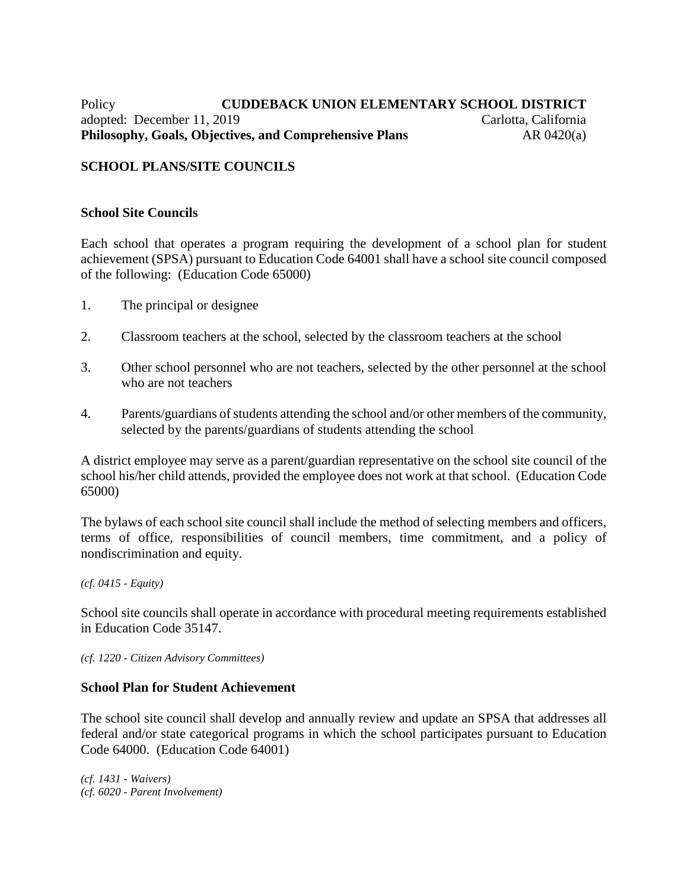# Policy **CUDDEBACK UNION ELEMENTARY SCHOOL DISTRICT** adopted: December 11, 2019 Carlotta, California **Philosophy, Goals, Objectives, and Comprehensive Plans** AR 0420(a)

# **SCHOOL PLANS/SITE COUNCILS**

### **School Site Councils**

Each school that operates a program requiring the development of a school plan for student achievement (SPSA) pursuant to Education Code 64001 shall have a school site council composed of the following: (Education Code 65000)

- 1. The principal or designee
- 2. Classroom teachers at the school, selected by the classroom teachers at the school
- 3. Other school personnel who are not teachers, selected by the other personnel at the school who are not teachers
- 4. Parents/guardians of students attending the school and/or other members of the community, selected by the parents/guardians of students attending the school

A district employee may serve as a parent/guardian representative on the school site council of the school his/her child attends, provided the employee does not work at that school. (Education Code 65000)

The bylaws of each school site council shall include the method of selecting members and officers, terms of office, responsibilities of council members, time commitment, and a policy of nondiscrimination and equity.

*(cf. 0415 - Equity)*

School site councils shall operate in accordance with procedural meeting requirements established in Education Code 35147.

*(cf. 1220 - Citizen Advisory Committees)*

#### **School Plan for Student Achievement**

The school site council shall develop and annually review and update an SPSA that addresses all federal and/or state categorical programs in which the school participates pursuant to Education Code 64000. (Education Code 64001)

*(cf. 1431 - Waivers) (cf. 6020 - Parent Involvement)*